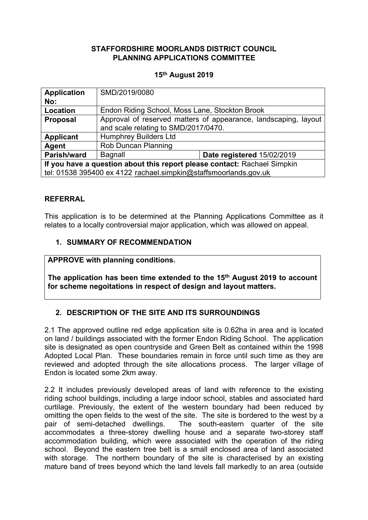## **STAFFORDSHIRE MOORLANDS DISTRICT COUNCIL PLANNING APPLICATIONS COMMITTEE**

### **15th August 2019**

| <b>Application</b>                                                       | SMD/2019/0080                                                   |                            |
|--------------------------------------------------------------------------|-----------------------------------------------------------------|----------------------------|
| No:                                                                      |                                                                 |                            |
| Location                                                                 | Endon Riding School, Moss Lane, Stockton Brook                  |                            |
| <b>Proposal</b>                                                          | Approval of reserved matters of appearance, landscaping, layout |                            |
|                                                                          | and scale relating to SMD/2017/0470.                            |                            |
| <b>Applicant</b>                                                         | <b>Humphrey Builders Ltd</b>                                    |                            |
| Agent                                                                    | Rob Duncan Planning                                             |                            |
| Parish/ward                                                              | Bagnall                                                         | Date registered 15/02/2019 |
| If you have a question about this report please contact: Rachael Simpkin |                                                                 |                            |
| tel: 01538 395400 ex 4122 rachael.simpkin@staffsmoorlands.gov.uk         |                                                                 |                            |

## **REFERRAL**

This application is to be determined at the Planning Applications Committee as it relates to a locally controversial major application, which was allowed on appeal.

## **1. SUMMARY OF RECOMMENDATION**

## **APPROVE with planning conditions.**

**The application has been time extended to the 15th August 2019 to account for scheme negoitations in respect of design and layout matters.**

## **2. DESCRIPTION OF THE SITE AND ITS SURROUNDINGS**

2.1 The approved outline red edge application site is 0.62ha in area and is located on land / buildings associated with the former Endon Riding School. The application site is designated as open countryside and Green Belt as contained within the 1998 Adopted Local Plan. These boundaries remain in force until such time as they are reviewed and adopted through the site allocations process. The larger village of Endon is located some 2km away.

2.2 It includes previously developed areas of land with reference to the existing riding school buildings, including a large indoor school, stables and associated hard curtilage. Previously, the extent of the western boundary had been reduced by omitting the open fields to the west of the site. The site is bordered to the west by a pair of semi-detached dwellings. The south-eastern quarter of the site accommodates a three-storey dwelling house and a separate two-storey staff accommodation building, which were associated with the operation of the riding school. Beyond the eastern tree belt is a small enclosed area of land associated with storage. The northern boundary of the site is characterised by an existing mature band of trees beyond which the land levels fall markedly to an area (outside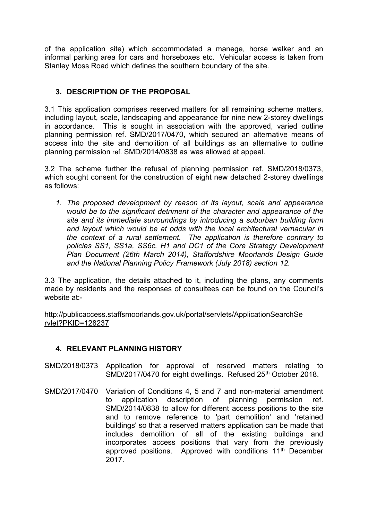of the application site) which accommodated a manege, horse walker and an informal parking area for cars and horseboxes etc. Vehicular access is taken from Stanley Moss Road which defines the southern boundary of the site.

## **3. DESCRIPTION OF THE PROPOSAL**

3.1 This application comprises reserved matters for all remaining scheme matters, including layout, scale, landscaping and appearance for nine new 2-storey dwellings in accordance. This is sought in association with the approved, varied outline planning permission ref. SMD/2017/0470, which secured an alternative means of access into the site and demolition of all buildings as an alternative to outline planning permission ref. SMD/2014/0838 as was allowed at appeal.

3.2 The scheme further the refusal of planning permission ref. SMD/2018/0373, which sought consent for the construction of eight new detached 2-storey dwellings as follows:

*1. The proposed development by reason of its layout, scale and appearance would be to the significant detriment of the character and appearance of the site and its immediate surroundings by introducing a suburban building form and layout which would be at odds with the local architectural vernacular in the context of a rural settlement. The application is therefore contrary to policies SS1, SS1a, SS6c, H1 and DC1 of the Core Strategy Development Plan Document (26th March 2014), Staffordshire Moorlands Design Guide and the National Planning Policy Framework (July 2018) section 12.*

3.3 The application, the details attached to it, including the plans, any comments made by residents and the responses of consultees can be found on the Council's website at:-

[http://publicaccess.staffsmoorlands.gov.uk/portal/servlets/ApplicationSearchSe](http://publicaccess.staffsmoorlands.gov.uk/portal/servlets/ApplicationSearchServlet?PKID=128237) [rvlet?PKID=128237](http://publicaccess.staffsmoorlands.gov.uk/portal/servlets/ApplicationSearchServlet?PKID=128237)

## **4. RELEVANT PLANNING HISTORY**

- SMD/2018/0373 Application for approval of reserved matters relating to SMD/2017/0470 for eight dwellings. Refused 25<sup>th</sup> October 2018.
- SMD/2017/0470 Variation of Conditions 4, 5 and 7 and non-material amendment to application description of planning permission ref. SMD/2014/0838 to allow for different access positions to the site and to remove reference to 'part demolition' and 'retained buildings' so that a reserved matters application can be made that includes demolition of all of the existing buildings and incorporates access positions that vary from the previously approved positions. Approved with conditions 11<sup>th</sup> December 2017.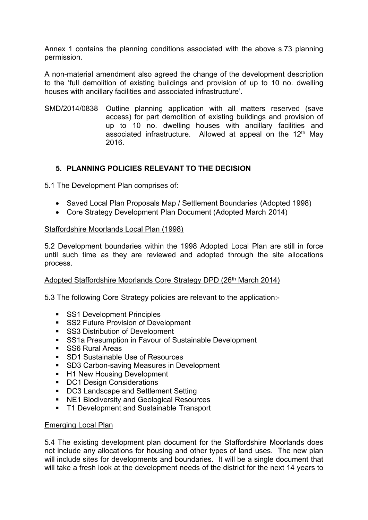Annex 1 contains the planning conditions associated with the above s.73 planning permission.

A non-material amendment also agreed the change of the development description to the 'full demolition of existing buildings and provision of up to 10 no. dwelling houses with ancillary facilities and associated infrastructure'.

SMD/2014/0838 Outline planning application with all matters reserved (save access) for part demolition of existing buildings and provision of up to 10 no. dwelling houses with ancillary facilities and associated infrastructure. Allowed at appeal on the 12<sup>th</sup> May 2016.

## **5. PLANNING POLICIES RELEVANT TO THE DECISION**

5.1 The Development Plan comprises of:

- Saved Local Plan Proposals Map / Settlement Boundaries (Adopted 1998)
- Core Strategy Development Plan Document (Adopted March 2014)

#### Staffordshire Moorlands Local Plan (1998)

5.2 Development boundaries within the 1998 Adopted Local Plan are still in force until such time as they are reviewed and adopted through the site allocations process.

### Adopted Staffordshire Moorlands Core Strategy DPD (26<sup>th</sup> March 2014)

5.3 The following Core Strategy policies are relevant to the application:-

- **SS1 Development Principles**
- SS2 Future Provision of Development
- **SS3 Distribution of Development**
- SS1a Presumption in Favour of Sustainable Development
- SS6 Rural Areas
- SD1 Sustainable Use of Resources
- SD3 Carbon-saving Measures in Development
- H1 New Housing Development
- **DC1 Design Considerations**
- **DC3 Landscape and Settlement Setting**
- NE1 Biodiversity and Geological Resources
- **T1 Development and Sustainable Transport**

#### Emerging Local Plan

5.4 The existing development plan document for the Staffordshire Moorlands does not include any allocations for housing and other types of land uses. The new plan will include sites for developments and boundaries. It will be a single document that will take a fresh look at the development needs of the district for the next 14 years to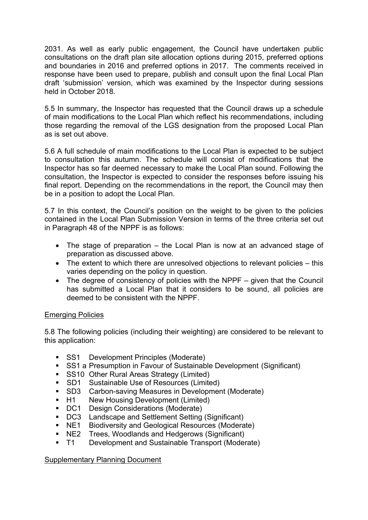2031. As well as early public engagement, the Council have undertaken public consultations on the draft plan site allocation options during 2015, preferred options and boundaries in 2016 and preferred options in 2017. The comments received in response have been used to prepare, publish and consult upon the final Local Plan draft 'submission' version, which was examined by the Inspector during sessions held in October 2018.

5.5 In summary, the Inspector has requested that the Council draws up a schedule of main modifications to the Local Plan which reflect his recommendations, including those regarding the removal of the LGS designation from the proposed Local Plan as is set out above.

5.6 A full schedule of main modifications to the Local Plan is expected to be subject to consultation this autumn. The schedule will consist of modifications that the Inspector has so far deemed necessary to make the Local Plan sound. Following the consultation, the Inspector is expected to consider the responses before issuing his final report. Depending on the recommendations in the report, the Council may then be in a position to adopt the Local Plan.

5.7 In this context, the Council's position on the weight to be given to the policies contained in the Local Plan Submission Version in terms of the three criteria set out in Paragraph 48 of the NPPF is as follows:

- The stage of preparation the Local Plan is now at an advanced stage of preparation as discussed above.
- The extent to which there are unresolved objections to relevant policies this varies depending on the policy in question.
- The degree of consistency of policies with the NPPF given that the Council has submitted a Local Plan that it considers to be sound, all policies are deemed to be consistent with the NPPF.

## Emerging Policies

5.8 The following policies (including their weighting) are considered to be relevant to this application:

- **SS1** Development Principles (Moderate)
- SS1 a Presumption in Favour of Sustainable Development (Significant)
- SS10 Other Rural Areas Strategy (Limited)
- **SD1** Sustainable Use of Resources (Limited)
- SD3 Carbon-saving Measures in Development (Moderate)
- H1 New Housing Development (Limited)
- DC1 Design Considerations (Moderate)
- DC3 Landscape and Settlement Setting (Significant)
- NE1 Biodiversity and Geological Resources (Moderate)
- NE2 Trees, Woodlands and Hedgerows (Significant)
- T1 Development and Sustainable Transport (Moderate)

### Supplementary Planning Document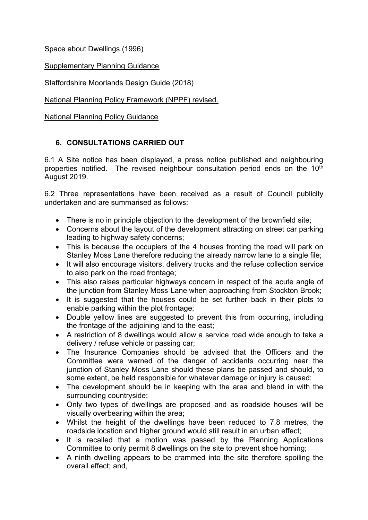Space about Dwellings (1996)

Supplementary Planning Guidance

Staffordshire Moorlands Design Guide (2018)

National Planning Policy Framework (NPPF) revised.

National Planning Policy Guidance

# **6. CONSULTATIONS CARRIED OUT**

6.1 A Site notice has been displayed, a press notice published and neighbouring properties notified. The revised neighbour consultation period ends on the 10<sup>th</sup> August 2019.

6.2 Three representations have been received as a result of Council publicity undertaken and are summarised as follows:

- There is no in principle objection to the development of the brownfield site;
- Concerns about the layout of the development attracting on street car parking leading to highway safety concerns;
- This is because the occupiers of the 4 houses fronting the road will park on Stanley Moss Lane therefore reducing the already narrow lane to a single file;
- It will also encourage visitors, delivery trucks and the refuse collection service to also park on the road frontage;
- This also raises particular highways concern in respect of the acute angle of the junction from Stanley Moss Lane when approaching from Stockton Brook;
- It is suggested that the houses could be set further back in their plots to enable parking within the plot frontage;
- Double yellow lines are suggested to prevent this from occurring, including the frontage of the adjoining land to the east;
- A restriction of 8 dwellings would allow a service road wide enough to take a delivery / refuse vehicle or passing car;
- The Insurance Companies should be advised that the Officers and the Committee were warned of the danger of accidents occurring near the junction of Stanley Moss Lane should these plans be passed and should, to some extent, be held responsible for whatever damage or injury is caused;
- The development should be in keeping with the area and blend in with the surrounding countryside;
- Only two types of dwellings are proposed and as roadside houses will be visually overbearing within the area;
- Whilst the height of the dwellings have been reduced to 7.8 metres, the roadside location and higher ground would still result in an urban effect;
- It is recalled that a motion was passed by the Planning Applications Committee to only permit 8 dwellings on the site to prevent shoe horning;
- A ninth dwelling appears to be crammed into the site therefore spoiling the overall effect; and,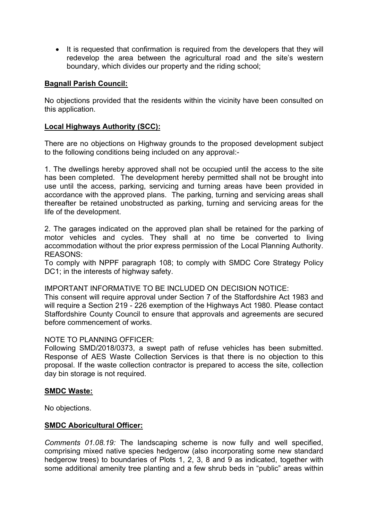• It is requested that confirmation is required from the developers that they will redevelop the area between the agricultural road and the site's western boundary, which divides our property and the riding school;

## **Bagnall Parish Council:**

No objections provided that the residents within the vicinity have been consulted on this application.

### **Local Highways Authority (SCC):**

There are no objections on Highway grounds to the proposed development subject to the following conditions being included on any approval:-

1. The dwellings hereby approved shall not be occupied until the access to the site has been completed. The development hereby permitted shall not be brought into use until the access, parking, servicing and turning areas have been provided in accordance with the approved plans. The parking, turning and servicing areas shall thereafter be retained unobstructed as parking, turning and servicing areas for the life of the development.

2. The garages indicated on the approved plan shall be retained for the parking of motor vehicles and cycles. They shall at no time be converted to living accommodation without the prior express permission of the Local Planning Authority. REASONS:

To comply with NPPF paragraph 108; to comply with SMDC Core Strategy Policy DC1; in the interests of highway safety.

IMPORTANT INFORMATIVE TO BE INCLUDED ON DECISION NOTICE:

This consent will require approval under Section 7 of the Staffordshire Act 1983 and will require a Section 219 - 226 exemption of the Highways Act 1980. Please contact Staffordshire County Council to ensure that approvals and agreements are secured before commencement of works.

### NOTE TO PLANNING OFFICER:

Following SMD/2018/0373, a swept path of refuse vehicles has been submitted. Response of AES Waste Collection Services is that there is no objection to this proposal. If the waste collection contractor is prepared to access the site, collection day bin storage is not required.

### **SMDC Waste:**

No objections.

### **SMDC Aboricultural Officer:**

*Comments 01.08.19:* The landscaping scheme is now fully and well specified, comprising mixed native species hedgerow (also incorporating some new standard hedgerow trees) to boundaries of Plots 1, 2, 3, 8 and 9 as indicated, together with some additional amenity tree planting and a few shrub beds in "public" areas within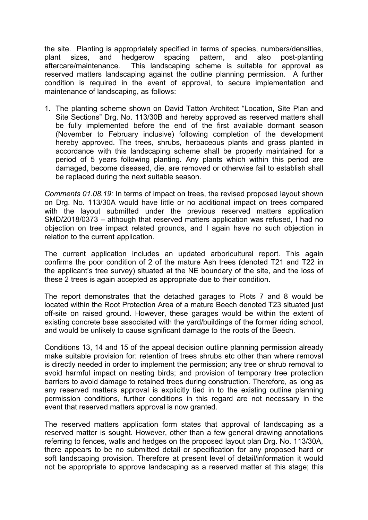the site. Planting is appropriately specified in terms of species, numbers/densities, plant sizes, and hedgerow spacing pattern, and also post-planting aftercare/maintenance. This landscaping scheme is suitable for approval as reserved matters landscaping against the outline planning permission. A further condition is required in the event of approval, to secure implementation and maintenance of landscaping, as follows:

1. The planting scheme shown on David Tatton Architect "Location, Site Plan and Site Sections" Drg. No. 113/30B and hereby approved as reserved matters shall be fully implemented before the end of the first available dormant season (November to February inclusive) following completion of the development hereby approved. The trees, shrubs, herbaceous plants and grass planted in accordance with this landscaping scheme shall be properly maintained for a period of 5 years following planting. Any plants which within this period are damaged, become diseased, die, are removed or otherwise fail to establish shall be replaced during the next suitable season.

*Comments 01.08.19:* In terms of impact on trees, the revised proposed layout shown on Drg. No. 113/30A would have little or no additional impact on trees compared with the layout submitted under the previous reserved matters application SMD/2018/0373 – although that reserved matters application was refused, I had no objection on tree impact related grounds, and I again have no such objection in relation to the current application.

The current application includes an updated arboricultural report. This again confirms the poor condition of 2 of the mature Ash trees (denoted T21 and T22 in the applicant's tree survey) situated at the NE boundary of the site, and the loss of these 2 trees is again accepted as appropriate due to their condition.

The report demonstrates that the detached garages to Plots 7 and 8 would be located within the Root Protection Area of a mature Beech denoted T23 situated just off-site on raised ground. However, these garages would be within the extent of existing concrete base associated with the yard/buildings of the former riding school, and would be unlikely to cause significant damage to the roots of the Beech.

Conditions 13, 14 and 15 of the appeal decision outline planning permission already make suitable provision for: retention of trees shrubs etc other than where removal is directly needed in order to implement the permission; any tree or shrub removal to avoid harmful impact on nesting birds; and provision of temporary tree protection barriers to avoid damage to retained trees during construction. Therefore, as long as any reserved matters approval is explicitly tied in to the existing outline planning permission conditions, further conditions in this regard are not necessary in the event that reserved matters approval is now granted.

The reserved matters application form states that approval of landscaping as a reserved matter is sought. However, other than a few general drawing annotations referring to fences, walls and hedges on the proposed layout plan Drg. No. 113/30A, there appears to be no submitted detail or specification for any proposed hard or soft landscaping provision. Therefore at present level of detail/information it would not be appropriate to approve landscaping as a reserved matter at this stage; this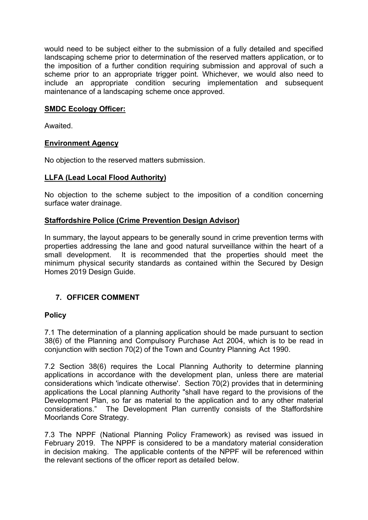would need to be subject either to the submission of a fully detailed and specified landscaping scheme prior to determination of the reserved matters application, or to the imposition of a further condition requiring submission and approval of such a scheme prior to an appropriate trigger point. Whichever, we would also need to include an appropriate condition securing implementation and subsequent maintenance of a landscaping scheme once approved.

### **SMDC Ecology Officer:**

Awaited.

## **Environment Agency**

No objection to the reserved matters submission.

## **LLFA (Lead Local Flood Authority)**

No objection to the scheme subject to the imposition of a condition concerning surface water drainage.

## **Staffordshire Police (Crime Prevention Design Advisor)**

In summary, the layout appears to be generally sound in crime prevention terms with properties addressing the lane and good natural surveillance within the heart of a small development. It is recommended that the properties should meet the minimum physical security standards as contained within the Secured by Design Homes 2019 Design Guide.

## **7. OFFICER COMMENT**

### **Policy**

7.1 The determination of a planning application should be made pursuant to section 38(6) of the Planning and Compulsory Purchase Act 2004, which is to be read in conjunction with section 70(2) of the Town and Country Planning Act 1990.

7.2 Section 38(6) requires the Local Planning Authority to determine planning applications in accordance with the development plan, unless there are material considerations which 'indicate otherwise'. Section 70(2) provides that in determining applications the Local planning Authority "shall have regard to the provisions of the Development Plan, so far as material to the application and to any other material considerations." The Development Plan currently consists of the Staffordshire Moorlands Core Strategy.

7.3 The NPPF (National Planning Policy Framework) as revised was issued in February 2019. The NPPF is considered to be a mandatory material consideration in decision making. The applicable contents of the NPPF will be referenced within the relevant sections of the officer report as detailed below.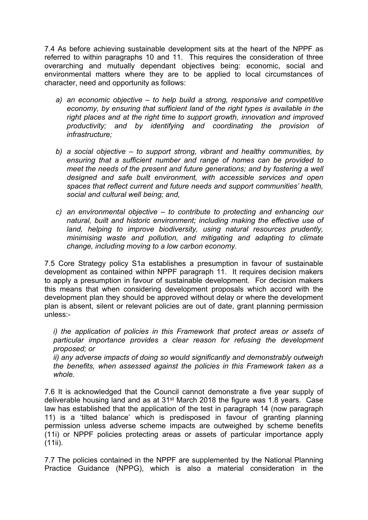7.4 As before achieving sustainable development sits at the heart of the NPPF as referred to within paragraphs 10 and 11. This requires the consideration of three overarching and mutually dependant objectives being: economic, social and environmental matters where they are to be applied to local circumstances of character, need and opportunity as follows:

- *a) an economic objective – to help build a strong, responsive and competitive economy, by ensuring that sufficient land of the right types is available in the right places and at the right time to support growth, innovation and improved productivity; and by identifying and coordinating the provision of infrastructure;*
- *b) a social objective – to support strong, vibrant and healthy communities, by ensuring that a sufficient number and range of homes can be provided to meet the needs of the present and future generations; and by fostering a well designed and safe built environment, with accessible services and open spaces that reflect current and future needs and support communities' health, social and cultural well being; and,*
- *c) an environmental objective – to contribute to protecting and enhancing our natural, built and historic environment; including making the effective use of land, helping to improve biodiversity, using natural resources prudently, minimising waste and pollution, and mitigating and adapting to climate change, including moving to a low carbon economy.*

7.5 Core Strategy policy S1a establishes a presumption in favour of sustainable development as contained within NPPF paragraph 11. It requires decision makers to apply a presumption in favour of sustainable development. For decision makers this means that when considering development proposals which accord with the development plan they should be approved without delay or where the development plan is absent, silent or relevant policies are out of date, grant planning permission unless:-

*i) the application of policies in this Framework that protect areas or assets of particular importance provides a clear reason for refusing the development proposed; or*

*ii) any adverse impacts of doing so would significantly and demonstrably outweigh the benefits, when assessed against the policies in this Framework taken as a whole.*

7.6 It is acknowledged that the Council cannot demonstrate a five year supply of deliverable housing land and as at 31st March 2018 the figure was 1.8 years. Case law has established that the application of the test in paragraph 14 (now paragraph 11) is a 'tilted balance' which is predisposed in favour of granting planning permission unless adverse scheme impacts are outweighed by scheme benefits (11i) or NPPF policies protecting areas or assets of particular importance apply  $(11ii)$ .

7.7 The policies contained in the NPPF are supplemented by the National Planning Practice Guidance (NPPG), which is also a material consideration in the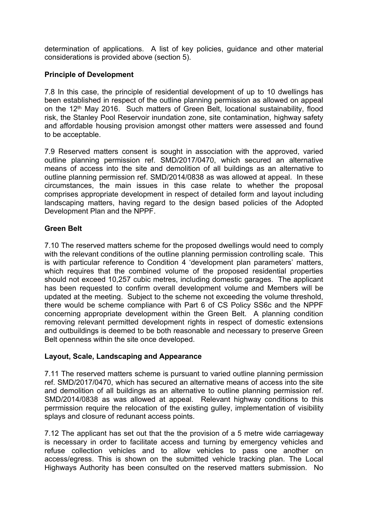determination of applications. A list of key policies, guidance and other material considerations is provided above (section 5).

## **Principle of Development**

7.8 In this case, the principle of residential development of up to 10 dwellings has been established in respect of the outline planning permission as allowed on appeal on the 12th May 2016. Such matters of Green Belt, locational sustainability, flood risk, the Stanley Pool Reservoir inundation zone, site contamination, highway safety and affordable housing provision amongst other matters were assessed and found to be acceptable.

7.9 Reserved matters consent is sought in association with the approved, varied outline planning permission ref. SMD/2017/0470, which secured an alternative means of access into the site and demolition of all buildings as an alternative to outline planning permission ref. SMD/2014/0838 as was allowed at appeal. In these circumstances, the main issues in this case relate to whether the proposal comprises appropriate development in respect of detailed form and layout including landscaping matters, having regard to the design based policies of the Adopted Development Plan and the NPPF.

## **Green Belt**

7.10 The reserved matters scheme for the proposed dwellings would need to comply with the relevant conditions of the outline planning permission controlling scale. This is with particular reference to Condition 4 'development plan parameters' matters, which requires that the combined volume of the proposed residential properties should not exceed 10,257 cubic metres, including domestic garages. The applicant has been requested to confirm overall development volume and Members will be updated at the meeting. Subject to the scheme not exceeding the volume threshold, there would be scheme compliance with Part 6 of CS Policy SS6c and the NPPF concerning appropriate development within the Green Belt. A planning condition removing relevant permitted development rights in respect of domestic extensions and outbuildings is deemed to be both reasonable and necessary to preserve Green Belt openness within the site once developed.

### **Layout, Scale, Landscaping and Appearance**

7.11 The reserved matters scheme is pursuant to varied outline planning permission ref. SMD/2017/0470, which has secured an alternative means of access into the site and demolition of all buildings as an alternative to outline planning permission ref. SMD/2014/0838 as was allowed at appeal. Relevant highway conditions to this perrmission require the relocation of the existing gulley, implementation of visibility splays and closure of redunant access points.

7.12 The applicant has set out that the the provision of a 5 metre wide carriageway is necessary in order to facilitate access and turning by emergency vehicles and refuse collection vehicles and to allow vehicles to pass one another on access/egress. This is shown on the submitted vehicle tracking plan. The Local Highways Authority has been consulted on the reserved matters submission. No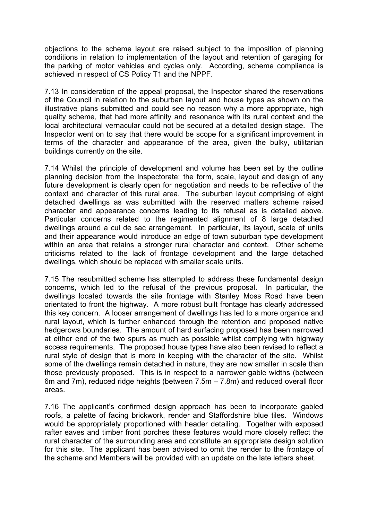objections to the scheme layout are raised subject to the imposition of planning conditions in relation to implementation of the layout and retention of garaging for the parking of motor vehicles and cycles only. According, scheme compliance is achieved in respect of CS Policy T1 and the NPPF.

7.13 In consideration of the appeal proposal, the Inspector shared the reservations of the Council in relation to the suburban layout and house types as shown on the illustrative plans submitted and could see no reason why a more appropriate, high quality scheme, that had more affinity and resonance with its rural context and the local architectural vernacular could not be secured at a detailed design stage. The Inspector went on to say that there would be scope for a significant improvement in terms of the character and appearance of the area, given the bulky, utilitarian buildings currently on the site.

7.14 Whilst the principle of development and volume has been set by the outline planning decision from the Inspectorate; the form, scale, layout and design of any future development is clearly open for negotiation and needs to be reflective of the context and character of this rural area. The suburban layout comprising of eight detached dwellings as was submitted with the reserved matters scheme raised character and appearance concerns leading to its refusal as is detailed above. Particular concerns related to the regimented alignment of 8 large detached dwellings around a cul de sac arrangement. In particular, its layout, scale of units and their appearance would introduce an edge of town suburban type development within an area that retains a stronger rural character and context. Other scheme criticisms related to the lack of frontage development and the large detached dwellings, which should be replaced with smaller scale units.

7.15 The resubmitted scheme has attempted to address these fundamental design concerns, which led to the refusal of the previous proposal. In particular, the dwellings located towards the site frontage with Stanley Moss Road have been orientated to front the highway. A more robust built frontage has clearly addressed this key concern. A looser arrangement of dwellings has led to a more organice and rural layout, which is further enhanced through the retention and proposed native hedgerows boundaries. The amount of hard surfacing proposed has been narrowed at either end of the two spurs as much as possible whilst complying with highway access requirements. The proposed house types have also been revised to reflect a rural style of design that is more in keeping with the character of the site. Whilst some of the dwellings remain detached in nature, they are now smaller in scale than those previously proposed. This is in respect to a narrower gable widths (between 6m and 7m), reduced ridge heights (between 7.5m – 7.8m) and reduced overall floor areas.

7.16 The applicant's confirmed design approach has been to incorporate gabled roofs, a palette of facing brickwork, render and Staffordshire blue tiles. Windows would be appropriately proportioned with header detailing. Together with exposed rafter eaves and timber front porches these features would more closely reflect the rural character of the surrounding area and constitute an appropriate design solution for this site. The applicant has been advised to omit the render to the frontage of the scheme and Members will be provided with an update on the late letters sheet.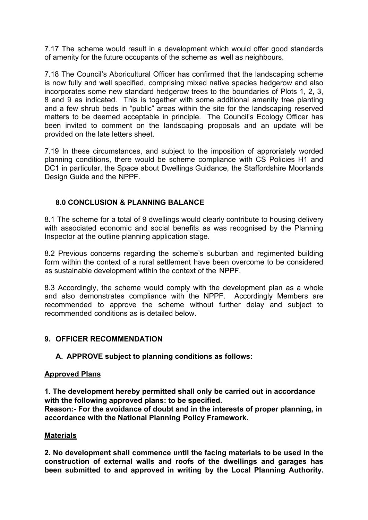7.17 The scheme would result in a development which would offer good standards of amenity for the future occupants of the scheme as well as neighbours.

7.18 The Council's Aboricultural Officer has confirmed that the landscaping scheme is now fully and well specified, comprising mixed native species hedgerow and also incorporates some new standard hedgerow trees to the boundaries of Plots 1, 2, 3, 8 and 9 as indicated. This is together with some additional amenity tree planting and a few shrub beds in "public" areas within the site for the landscaping reserved matters to be deemed acceptable in principle. The Council's Ecology Officer has been invited to comment on the landscaping proposals and an update will be provided on the late letters sheet.

7.19 In these circumstances, and subject to the imposition of approriately worded planning conditions, there would be scheme compliance with CS Policies H1 and DC1 in particular, the Space about Dwellings Guidance, the Staffordshire Moorlands Design Guide and the NPPF.

## **8.0 CONCLUSION & PLANNING BALANCE**

8.1 The scheme for a total of 9 dwellings would clearly contribute to housing delivery with associated economic and social benefits as was recognised by the Planning Inspector at the outline planning application stage.

8.2 Previous concerns regarding the scheme's suburban and regimented building form within the context of a rural settlement have been overcome to be considered as sustainable development within the context of the NPPF.

8.3 Accordingly, the scheme would comply with the development plan as a whole and also demonstrates compliance with the NPPF. Accordingly Members are recommended to approve the scheme without further delay and subject to recommended conditions as is detailed below.

## **9. OFFICER RECOMMENDATION**

## **A. APPROVE subject to planning conditions as follows:**

### **Approved Plans**

**1. The development hereby permitted shall only be carried out in accordance with the following approved plans: to be specified.**

**Reason:- For the avoidance of doubt and in the interests of proper planning, in accordance with the National Planning Policy Framework.**

### **Materials**

**2. No development shall commence until the facing materials to be used in the construction of external walls and roofs of the dwellings and garages has been submitted to and approved in writing by the Local Planning Authority.**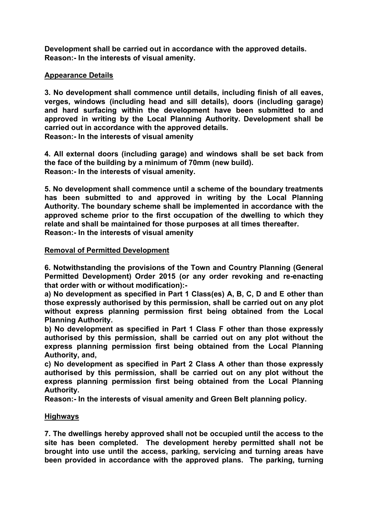**Development shall be carried out in accordance with the approved details. Reason:- In the interests of visual amenity.**

## **Appearance Details**

**3. No development shall commence until details, including finish of all eaves, verges, windows (including head and sill details), doors (including garage) and hard surfacing within the development have been submitted to and approved in writing by the Local Planning Authority. Development shall be carried out in accordance with the approved details. Reason:- In the interests of visual amenity**

**4. All external doors (including garage) and windows shall be set back from the face of the building by a minimum of 70mm (new build). Reason:- In the interests of visual amenity.**

**5. No development shall commence until a scheme of the boundary treatments has been submitted to and approved in writing by the Local Planning Authority. The boundary scheme shall be implemented in accordance with the approved scheme prior to the first occupation of the dwelling to which they relate and shall be maintained for those purposes at all times thereafter. Reason:- In the interests of visual amenity**

## **Removal of Permitted Development**

**6. Notwithstanding the provisions of the Town and Country Planning (General Permitted Development) Order 2015 (or any order revoking and re-enacting that order with or without modification):-**

**a) No development as specified in Part 1 Class(es) A, B, C, D and E other than those expressly authorised by this permission, shall be carried out on any plot without express planning permission first being obtained from the Local Planning Authority.**

**b) No development as specified in Part 1 Class F other than those expressly authorised by this permission, shall be carried out on any plot without the express planning permission first being obtained from the Local Planning Authority, and,**

**c) No development as specified in Part 2 Class A other than those expressly authorised by this permission, shall be carried out on any plot without the express planning permission first being obtained from the Local Planning Authority.**

**Reason:- In the interests of visual amenity and Green Belt planning policy.**

## **Highways**

**7. The dwellings hereby approved shall not be occupied until the access to the site has been completed. The development hereby permitted shall not be brought into use until the access, parking, servicing and turning areas have been provided in accordance with the approved plans. The parking, turning**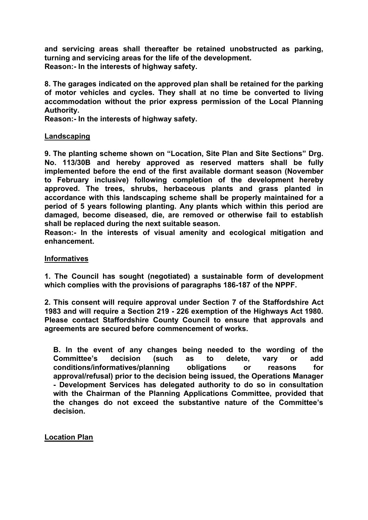**and servicing areas shall thereafter be retained unobstructed as parking, turning and servicing areas for the life of the development. Reason:- In the interests of highway safety.**

**8. The garages indicated on the approved plan shall be retained for the parking of motor vehicles and cycles. They shall at no time be converted to living accommodation without the prior express permission of the Local Planning Authority.**

**Reason:- In the interests of highway safety.**

#### **Landscaping**

**9. The planting scheme shown on "Location, Site Plan and Site Sections" Drg. No. 113/30B and hereby approved as reserved matters shall be fully implemented before the end of the first available dormant season (November to February inclusive) following completion of the development hereby approved. The trees, shrubs, herbaceous plants and grass planted in accordance with this landscaping scheme shall be properly maintained for a period of 5 years following planting. Any plants which within this period are damaged, become diseased, die, are removed or otherwise fail to establish shall be replaced during the next suitable season.**

**Reason:- In the interests of visual amenity and ecological mitigation and enhancement.**

#### **Informatives**

**1. The Council has sought (negotiated) a sustainable form of development which complies with the provisions of paragraphs 186-187 of the NPPF.**

**2. This consent will require approval under Section 7 of the Staffordshire Act 1983 and will require a Section 219 - 226 exemption of the Highways Act 1980. Please contact Staffordshire County Council to ensure that approvals and agreements are secured before commencement of works.**

**B. In the event of any changes being needed to the wording of the Committee's decision (such as to delete, vary or add conditions/informatives/planning obligations or reasons for approval/refusal) prior to the decision being issued, the Operations Manager - Development Services has delegated authority to do so in consultation with the Chairman of the Planning Applications Committee, provided that the changes do not exceed the substantive nature of the Committee's decision.**

**Location Plan**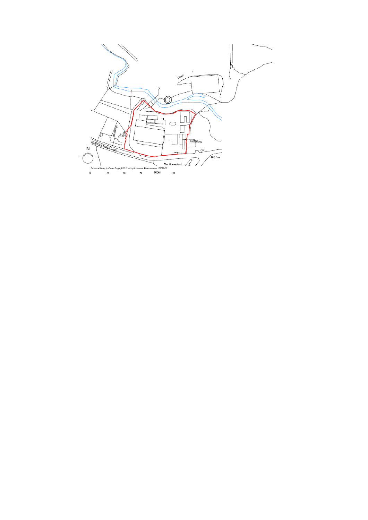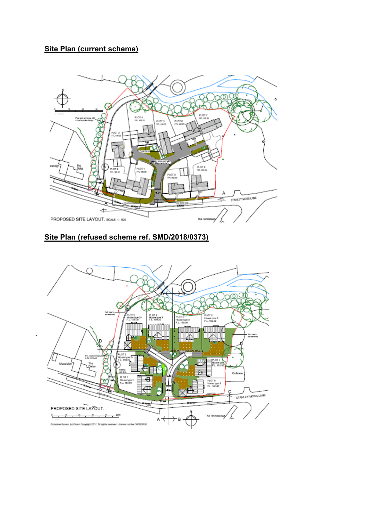# **Site Plan (current scheme)**



# **Site Plan (refused scheme ref. SMD/2018/0373)**

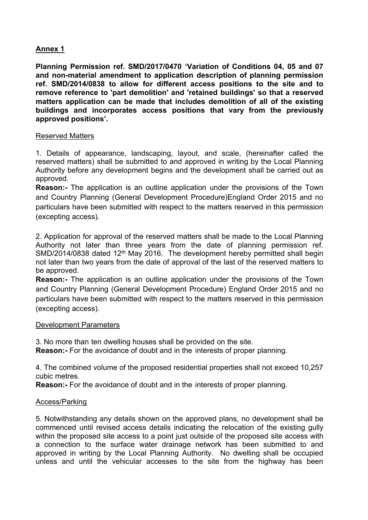## **Annex 1**

**Planning Permission ref. SMD/2017/0470 'Variation of Conditions 04, 05 and 07 and non-material amendment to application description of planning permission ref. SMD/2014/0838 to allow for different access positions to the site and to remove reference to 'part demolition' and 'retained buildings' so that a reserved matters application can be made that includes demolition of all of the existing buildings and incorporates access positions that vary from the previously approved positions'.**

#### Reserved Matters

1. Details of appearance, landscaping, layout, and scale, (hereinafter called the reserved matters) shall be submitted to and approved in writing by the Local Planning Authority before any development begins and the development shall be carried out as approved.

**Reason:-** The application is an outline application under the provisions of the Town and Country Planning (General Development Procedure)England Order 2015 and no particulars have been submitted with respect to the matters reserved in this permission (excepting access).

2. Application for approval of the reserved matters shall be made to the Local Planning Authority not later than three years from the date of planning permission ref. SMD/2014/0838 dated 12<sup>th</sup> May 2016. The development hereby permitted shall begin not later than two years from the date of approval of the last of the reserved matters to be approved.

**Reason:-** The application is an outline application under the provisions of the Town and Country Planning (General Development Procedure) England Order 2015 and no particulars have been submitted with respect to the matters reserved in this permission (excepting access).

#### Development Parameters

3. No more than ten dwelling houses shall be provided on the site.

**Reason:-** For the avoidance of doubt and in the interests of proper planning.

4. The combined volume of the proposed residential properties shall not exceed 10,257 cubic metres.

**Reason:-** For the avoidance of doubt and in the interests of proper planning.

#### Access/Parking

5. Notwithstanding any details shown on the approved plans, no development shall be commenced until revised access details indicating the relocation of the existing gully within the proposed site access to a point just outside of the proposed site access with a connection to the surface water drainage network has been submitted to and approved in writing by the Local Planning Authority. No dwelling shall be occupied unless and until the vehicular accesses to the site from the highway has been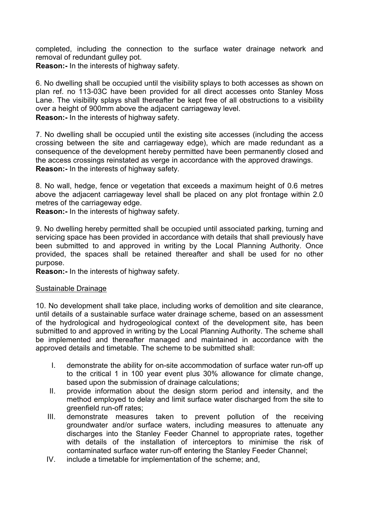completed, including the connection to the surface water drainage network and removal of redundant gulley pot. **Reason:-** In the interests of highway safety.

6. No dwelling shall be occupied until the visibility splays to both accesses as shown on plan ref. no 113-03C have been provided for all direct accesses onto Stanley Moss Lane. The visibility splays shall thereafter be kept free of all obstructions to a visibility over a height of 900mm above the adjacent carriageway level. **Reason:-** In the interests of highway safety.

7. No dwelling shall be occupied until the existing site accesses (including the access crossing between the site and carriageway edge), which are made redundant as a consequence of the development hereby permitted have been permanently closed and the access crossings reinstated as verge in accordance with the approved drawings. **Reason:-** In the interests of highway safety.

8. No wall, hedge, fence or vegetation that exceeds a maximum height of 0.6 metres above the adjacent carriageway level shall be placed on any plot frontage within 2.0 metres of the carriageway edge.

**Reason:-** In the interests of highway safety.

9. No dwelling hereby permitted shall be occupied until associated parking, turning and servicing space has been provided in accordance with details that shall previously have been submitted to and approved in writing by the Local Planning Authority. Once provided, the spaces shall be retained thereafter and shall be used for no other purpose.

**Reason:-** In the interests of highway safety.

#### Sustainable Drainage

10. No development shall take place, including works of demolition and site clearance, until details of a sustainable surface water drainage scheme, based on an assessment of the hydrological and hydrogeological context of the development site, has been submitted to and approved in writing by the Local Planning Authority. The scheme shall be implemented and thereafter managed and maintained in accordance with the approved details and timetable. The scheme to be submitted shall:

- I. demonstrate the ability for on-site accommodation of surface water run-off up to the critical 1 in 100 year event plus 30% allowance for climate change, based upon the submission of drainage calculations;
- II. provide information about the design storm period and intensity, and the method employed to delay and limit surface water discharged from the site to greenfield run-off rates;
- III. demonstrate measures taken to prevent pollution of the receiving groundwater and/or surface waters, including measures to attenuate any discharges into the Stanley Feeder Channel to appropriate rates, together with details of the installation of interceptors to minimise the risk of contaminated surface water run-off entering the Stanley Feeder Channel;
- IV. include a timetable for implementation of the scheme; and,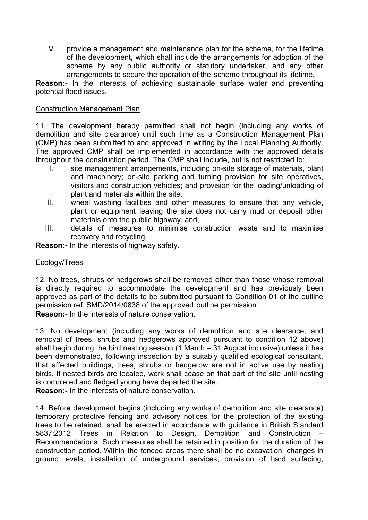V. provide a management and maintenance plan for the scheme, for the lifetime of the development, which shall include the arrangements for adoption of the scheme by any public authority or statutory undertaker, and any other arrangements to secure the operation of the scheme throughout its lifetime.

**Reason:-** In the interests of achieving sustainable surface water and preventing potential flood issues.

### Construction Management Plan

11. The development hereby permitted shall not begin (including any works of demolition and site clearance) until such time as a Construction Management Plan (CMP) has been submitted to and approved in writing by the Local Planning Authority. The approved CMP shall be implemented in accordance with the approved details throughout the construction period. The CMP shall include, but is not restricted to:

- I. site management arrangements, including on-site storage of materials, plant and machinery; on-site parking and turning provision for site operatives, visitors and construction vehicles; and provision for the loading/unloading of plant and materials within the site;
- II. wheel washing facilities and other measures to ensure that any vehicle, plant or equipment leaving the site does not carry mud or deposit other materials onto the public highway, and,
- III. details of measures to minimise construction waste and to maximise recovery and recycling.

**Reason:-** In the interests of highway safety.

#### Ecology/Trees

12. No trees, shrubs or hedgerows shall be removed other than those whose removal is directly required to accommodate the development and has previously been approved as part of the details to be submitted pursuant to Condition 01 of the outline permission ref. SMD/2014/0838 of the approved outline permission. **Reason:-** In the interests of nature conservation.

13. No development (including any works of demolition and site clearance, and removal of trees, shrubs and hedgerows approved pursuant to condition 12 above) shall begin during the bird nesting season (1 March – 31 August inclusive) unless it has been demonstrated, following inspection by a suitably qualified ecological consultant, that affected buildings, trees, shrubs or hedgerow are not in active use by nesting birds. If nested birds are located, work shall cease on that part of the site until nesting is completed and fledged young have departed the site.

**Reason:-** In the interests of nature conservation.

14. Before development begins (including any works of demolition and site clearance) temporary protective fencing and advisory notices for the protection of the existing trees to be retained, shall be erected in accordance with guidance in British Standard 5837:2012 Trees in Relation to Design, Demolition and Construction – Recommendations. Such measures shall be retained in position for the duration of the construction period. Within the fenced areas there shall be no excavation, changes in ground levels, installation of underground services, provision of hard surfacing,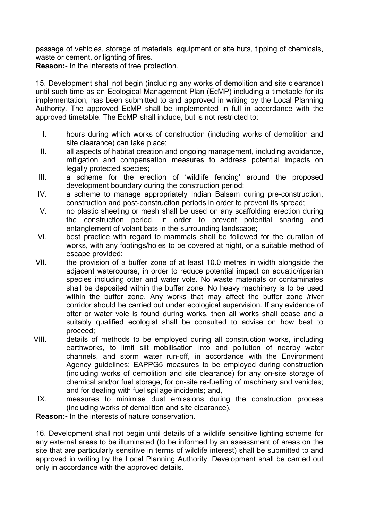passage of vehicles, storage of materials, equipment or site huts, tipping of chemicals, waste or cement, or lighting of fires.

**Reason:-** In the interests of tree protection.

15. Development shall not begin (including any works of demolition and site clearance) until such time as an Ecological Management Plan (EcMP) including a timetable for its implementation, has been submitted to and approved in writing by the Local Planning Authority. The approved EcMP shall be implemented in full in accordance with the approved timetable. The EcMP shall include, but is not restricted to:

- I. hours during which works of construction (including works of demolition and site clearance) can take place;
- II. all aspects of habitat creation and ongoing management, including avoidance, mitigation and compensation measures to address potential impacts on legally protected species;
- III. a scheme for the erection of 'wildlife fencing' around the proposed development boundary during the construction period;
- IV. a scheme to manage appropriately Indian Balsam during pre-construction, construction and post-construction periods in order to prevent its spread;
- V. no plastic sheeting or mesh shall be used on any scaffolding erection during the construction period, in order to prevent potential snaring and entanglement of volant bats in the surrounding landscape;
- VI. best practice with regard to mammals shall be followed for the duration of works, with any footings/holes to be covered at night, or a suitable method of escape provided;
- VII. the provision of a buffer zone of at least 10.0 metres in width alongside the adjacent watercourse, in order to reduce potential impact on aquatic/riparian species including otter and water vole. No waste materials or contaminates shall be deposited within the buffer zone. No heavy machinery is to be used within the buffer zone. Any works that may affect the buffer zone /river corridor should be carried out under ecological supervision. If any evidence of otter or water vole is found during works, then all works shall cease and a suitably qualified ecologist shall be consulted to advise on how best to proceed;
- VIII. details of methods to be employed during all construction works, including earthworks, to limit silt mobilisation into and pollution of nearby water channels, and storm water run-off, in accordance with the Environment Agency guidelines: EAPPG5 measures to be employed during construction (including works of demolition and site clearance) for any on-site storage of chemical and/or fuel storage; for on-site re-fuelling of machinery and vehicles; and for dealing with fuel spillage incidents; and,
- IX. measures to minimise dust emissions during the construction process (including works of demolition and site clearance).

**Reason:-** In the interests of nature conservation.

16. Development shall not begin until details of a wildlife sensitive lighting scheme for any external areas to be illuminated (to be informed by an assessment of areas on the site that are particularly sensitive in terms of wildlife interest) shall be submitted to and approved in writing by the Local Planning Authority. Development shall be carried out only in accordance with the approved details.